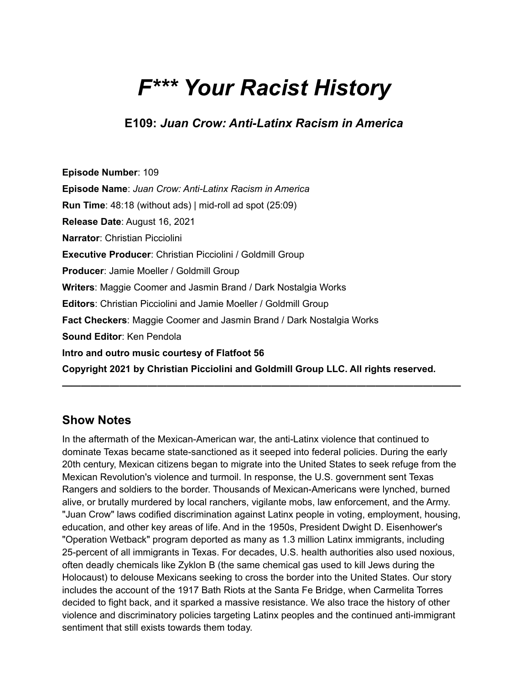# *F\*\*\* Your Racist History*

**E109:** *Juan Crow: Anti-Latinx Racism in America*

**Episode Number**: 109 **Episode Name**: *Juan Crow: Anti-Latinx Racism in America* **Run Time**: 48:18 (without ads) | mid-roll ad spot (25:09) **Release Date**: August 16, 2021 **Narrator**: Christian Picciolini **Executive Producer**: Christian Picciolini / Goldmill Group **Producer**: Jamie Moeller / Goldmill Group **Writers**: Maggie Coomer and Jasmin Brand / Dark Nostalgia Works **Editors**: Christian Picciolini and Jamie Moeller / Goldmill Group **Fact Checkers**: Maggie Coomer and Jasmin Brand / Dark Nostalgia Works **Sound Editor**: Ken Pendola **Intro and outro music courtesy of Flatfoot 56 Copyright 2021 by Christian Picciolini and Goldmill Group LLC. All rights reserved.**

## **Show Notes**

In the aftermath of the Mexican-American war, the anti-Latinx violence that continued to dominate Texas became state-sanctioned as it seeped into federal policies. During the early 20th century, Mexican citizens began to migrate into the United States to seek refuge from the Mexican Revolution's violence and turmoil. In response, the U.S. government sent Texas Rangers and soldiers to the border. Thousands of Mexican-Americans were lynched, burned alive, or brutally murdered by local ranchers, vigilante mobs, law enforcement, and the Army. "Juan Crow" laws codified discrimination against Latinx people in voting, employment, housing, education, and other key areas of life. And in the 1950s, President Dwight D. Eisenhower's "Operation Wetback" program deported as many as 1.3 million Latinx immigrants, including 25-percent of all immigrants in Texas. For decades, U.S. health authorities also used noxious, often deadly chemicals like Zyklon B (the same chemical gas used to kill Jews during the Holocaust) to delouse Mexicans seeking to cross the border into the United States. Our story includes the account of the 1917 Bath Riots at the Santa Fe Bridge, when Carmelita Torres decided to fight back, and it sparked a massive resistance. We also trace the history of other violence and discriminatory policies targeting Latinx peoples and the continued anti-immigrant sentiment that still exists towards them today.

**——————————————————————————————————————————**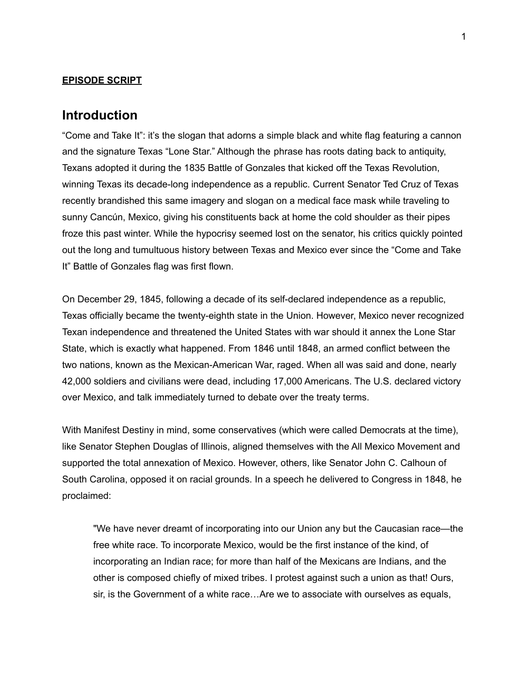#### **EPISODE SCRIPT**

## **Introduction**

"Come and Take It": it's the slogan that adorns a simple black and white flag featuring a cannon and the signature Texas "Lone Star." Although the phrase has roots dating back to antiquity, Texans adopted it during the 1835 Battle of Gonzales that kicked off the Texas Revolution, winning Texas its decade-long independence as a republic. Current Senator Ted Cruz of Texas recently brandished this same imagery and slogan on a medical face mask while traveling to sunny Cancún, Mexico, giving his constituents back at home the cold shoulder as their pipes froze this past winter. While the hypocrisy seemed lost on the senator, his critics quickly pointed out the long and tumultuous history between Texas and Mexico ever since the "Come and Take It" Battle of Gonzales flag was first flown.

On December 29, 1845, following a decade of its self-declared independence as a republic, Texas officially became the twenty-eighth state in the Union. However, Mexico never recognized Texan independence and threatened the United States with war should it annex the Lone Star State, which is exactly what happened. From 1846 until 1848, an armed conflict between the two nations, known as the Mexican-American War, raged. When all was said and done, nearly 42,000 soldiers and civilians were dead, including 17,000 Americans. The U.S. declared victory over Mexico, and talk immediately turned to debate over the treaty terms.

With Manifest Destiny in mind, some conservatives (which were called Democrats at the time), like Senator Stephen Douglas of Illinois, aligned themselves with the All Mexico Movement and supported the total annexation of Mexico. However, others, like Senator John C. Calhoun of South Carolina, opposed it on racial grounds. In a speech he delivered to Congress in 1848, he proclaimed:

"We have never dreamt of incorporating into our Union any but the Caucasian race—the free white race. To incorporate Mexico, would be the first instance of the kind, of incorporating an Indian race; for more than half of the Mexicans are Indians, and the other is composed chiefly of mixed tribes. I protest against such a union as that! Ours, sir, is the Government of a white race…Are we to associate with ourselves as equals,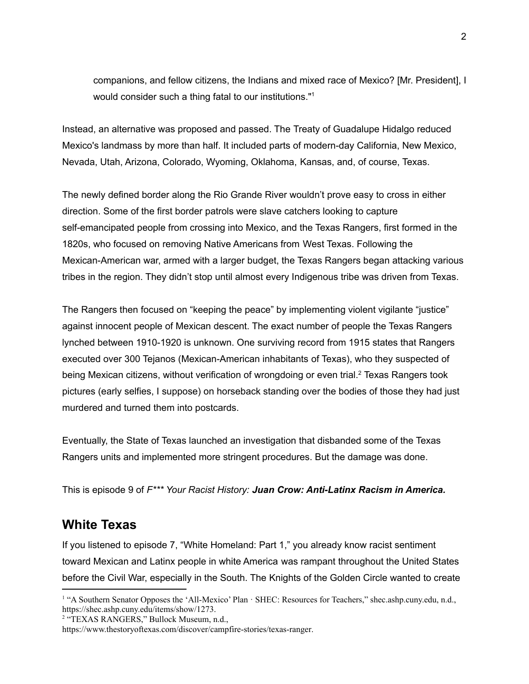companions, and fellow citizens, the Indians and mixed race of Mexico? [Mr. President], I would consider such a thing fatal to our institutions." 1

Instead, an alternative was proposed and passed. The Treaty of Guadalupe Hidalgo reduced Mexico's landmass by more than half. It included parts of modern-day California, New Mexico, Nevada, Utah, Arizona, Colorado, Wyoming, Oklahoma, Kansas, and, of course, Texas.

The newly defined border along the Rio Grande River wouldn't prove easy to cross in either direction. Some of the first border patrols were slave catchers looking to capture self-emancipated people from crossing into Mexico, and the Texas Rangers, first formed in the 1820s, who focused on removing Native Americans from West Texas. Following the Mexican-American war, armed with a larger budget, the Texas Rangers began attacking various tribes in the region. They didn't stop until almost every Indigenous tribe was driven from Texas.

The Rangers then focused on "keeping the peace" by implementing violent vigilante "justice" against innocent people of Mexican descent. The exact number of people the Texas Rangers lynched between 1910-1920 is unknown. One surviving record from 1915 states that Rangers executed over 300 Tejanos (Mexican-American inhabitants of Texas), who they suspected of being Mexican citizens, without verification of wrongdoing or even trial.<sup>2</sup> Texas Rangers took pictures (early selfies, I suppose) on horseback standing over the bodies of those they had just murdered and turned them into postcards.

Eventually, the State of Texas launched an investigation that disbanded some of the Texas Rangers units and implemented more stringent procedures. But the damage was done.

This is episode 9 of *F\*\*\* Your Racist History: Juan Crow: Anti-Latinx Racism in America.*

## **White Texas**

If you listened to episode 7, "White Homeland: Part 1," you already know racist sentiment toward Mexican and Latinx people in white America was rampant throughout the United States before the Civil War, especially in the South. The Knights of the Golden Circle wanted to create

<sup>1</sup> "A Southern Senator Opposes the 'All-Mexico' Plan · SHEC: Resources for Teachers," shec.ashp.cuny.edu, n.d., [https://shec.ashp.cuny.edu/items/show/1273.](https://shec.ashp.cuny.edu/items/show/1273)

<sup>&</sup>lt;sup>2</sup> "TEXAS RANGERS," Bullock Museum, n.d.,

[https://www.thestoryoftexas.com/discover/campfire-stories/texas-ranger.](https://www.thestoryoftexas.com/discover/campfire-stories/texas-ranger)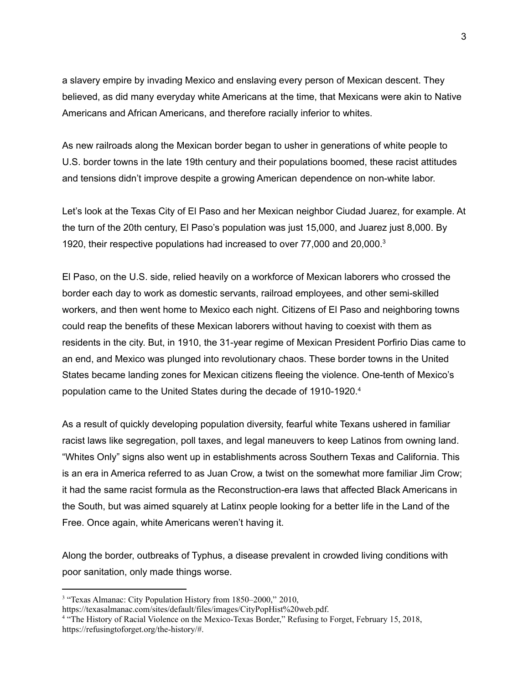a slavery empire by invading Mexico and enslaving every person of Mexican descent. They believed, as did many everyday white Americans at the time, that Mexicans were akin to Native Americans and African Americans, and therefore racially inferior to whites.

As new railroads along the Mexican border began to usher in generations of white people to U.S. border towns in the late 19th century and their populations boomed, these racist attitudes and tensions didn't improve despite a growing American dependence on non-white labor.

Let's look at the Texas City of El Paso and her Mexican neighbor Ciudad Juarez, for example. At the turn of the 20th century, El Paso's population was just 15,000, and Juarez just 8,000. By 1920, their respective populations had increased to over 77,000 and 20,000. 3

El Paso, on the U.S. side, relied heavily on a workforce of Mexican laborers who crossed the border each day to work as domestic servants, railroad employees, and other semi-skilled workers, and then went home to Mexico each night. Citizens of El Paso and neighboring towns could reap the benefits of these Mexican laborers without having to coexist with them as residents in the city. But, in 1910, the 31-year regime of Mexican President Porfirio Dias came to an end, and Mexico was plunged into revolutionary chaos. These border towns in the United States became landing zones for Mexican citizens fleeing the violence. One-tenth of Mexico's population came to the United States during the decade of 1910-1920. 4

As a result of quickly developing population diversity, fearful white Texans ushered in familiar racist laws like segregation, poll taxes, and legal maneuvers to keep Latinos from owning land. "Whites Only" signs also went up in establishments across Southern Texas and California. This is an era in America referred to as Juan Crow, a twist on the somewhat more familiar Jim Crow; it had the same racist formula as the Reconstruction-era laws that affected Black Americans in the South, but was aimed squarely at Latinx people looking for a better life in the Land of the Free. Once again, white Americans weren't having it.

Along the border, outbreaks of Typhus, a disease prevalent in crowded living conditions with poor sanitation, only made things worse.

<sup>&</sup>lt;sup>3</sup> "Texas Almanac: City Population History from 1850–2000," 2010,

<https://texasalmanac.com/sites/default/files/images/CityPopHist%20web.pdf>.

<sup>4</sup> "The History of Racial Violence on the Mexico-Texas Border," Refusing to Forget, February 15, 2018, <https://refusingtoforget.org/the-history/#>.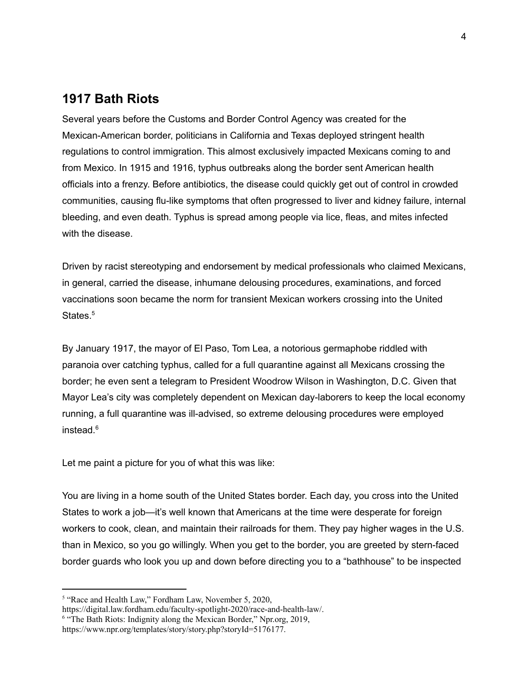## **1917 Bath Riots**

Several years before the Customs and Border Control Agency was created for the Mexican-American border, politicians in California and Texas deployed stringent health regulations to control immigration. This almost exclusively impacted Mexicans coming to and from Mexico. In 1915 and 1916, typhus outbreaks along the border sent American health officials into a frenzy. Before antibiotics, the disease could quickly get out of control in crowded communities, causing flu-like symptoms that often progressed to liver and kidney failure, internal bleeding, and even death. Typhus is spread among people via lice, fleas, and mites infected with the disease.

Driven by racist stereotyping and endorsement by medical professionals who claimed Mexicans, in general, carried the disease, inhumane delousing procedures, examinations, and forced vaccinations soon became the norm for transient Mexican workers crossing into the United States. 5

By January 1917, the mayor of El Paso, Tom Lea, a notorious germaphobe riddled with paranoia over catching typhus, called for a full quarantine against all Mexicans crossing the border; he even sent a telegram to President Woodrow Wilson in Washington, D.C. Given that Mayor Lea's city was completely dependent on Mexican day-laborers to keep the local economy running, a full quarantine was ill-advised, so extreme delousing procedures were employed instead. 6

Let me paint a picture for you of what this was like:

You are living in a home south of the United States border. Each day, you cross into the United States to work a job—it's well known that Americans at the time were desperate for foreign workers to cook, clean, and maintain their railroads for them. They pay higher wages in the U.S. than in Mexico, so you go willingly. When you get to the border, you are greeted by stern-faced border guards who look you up and down before directing you to a "bathhouse" to be inspected

<sup>&</sup>lt;sup>5</sup> "Race and Health Law," Fordham Law, November 5, 2020,

[https://digital.law.fordham.edu/faculty-spotlight-2020/race-and-health-law/.](https://digital.law.fordham.edu/faculty-spotlight-2020/race-and-health-law/)

<sup>&</sup>lt;sup>6</sup> "The Bath Riots: Indignity along the Mexican Border," Npr.org, 2019,

[https://www.npr.org/templates/story/story.php?storyId=5176177.](https://www.npr.org/templates/story/story.php?storyId=5176177)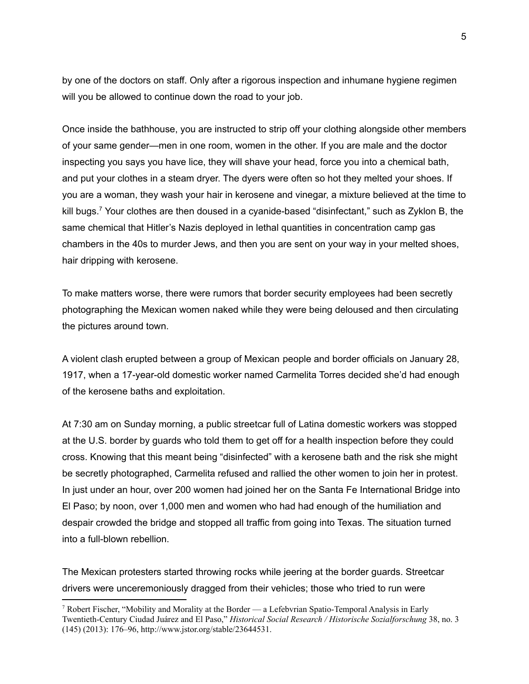by one of the doctors on staff. Only after a rigorous inspection and inhumane hygiene regimen will you be allowed to continue down the road to your job.

Once inside the bathhouse, you are instructed to strip off your clothing alongside other members of your same gender—men in one room, women in the other. If you are male and the doctor inspecting you says you have lice, they will shave your head, force you into a chemical bath, and put your clothes in a steam dryer. The dyers were often so hot they melted your shoes. If you are a woman, they wash your hair in kerosene and vinegar, a mixture believed at the time to kill bugs.<sup>7</sup> Your clothes are then doused in a cyanide-based "disinfectant," such as Zyklon B, the same chemical that Hitler's Nazis deployed in lethal quantities in concentration camp gas chambers in the 40s to murder Jews, and then you are sent on your way in your melted shoes, hair dripping with kerosene.

To make matters worse, there were rumors that border security employees had been secretly photographing the Mexican women naked while they were being deloused and then circulating the pictures around town.

A violent clash erupted between a group of Mexican people and border officials on January 28, 1917, when a 17-year-old domestic worker named Carmelita Torres decided she'd had enough of the kerosene baths and exploitation.

At 7:30 am on Sunday morning, a public streetcar full of Latina domestic workers was stopped at the U.S. border by guards who told them to get off for a health inspection before they could cross. Knowing that this meant being "disinfected" with a kerosene bath and the risk she might be secretly photographed, Carmelita refused and rallied the other women to join her in protest. In just under an hour, over 200 women had joined her on the Santa Fe International Bridge into El Paso; by noon, over 1,000 men and women who had had enough of the humiliation and despair crowded the bridge and stopped all traffic from going into Texas. The situation turned into a full-blown rebellion.

The Mexican protesters started throwing rocks while jeering at the border guards. Streetcar drivers were unceremoniously dragged from their vehicles; those who tried to run were

<sup>&</sup>lt;sup>7</sup> Robert Fischer, "Mobility and Morality at the Border — a Lefebvrian Spatio-Temporal Analysis in Early Twentieth-Century Ciudad Juárez and El Paso," *Historical Social Research / Historische Sozialforschung* 38, no. 3 (145) (2013): 176–96, <http://www.jstor.org/stable/23644531>.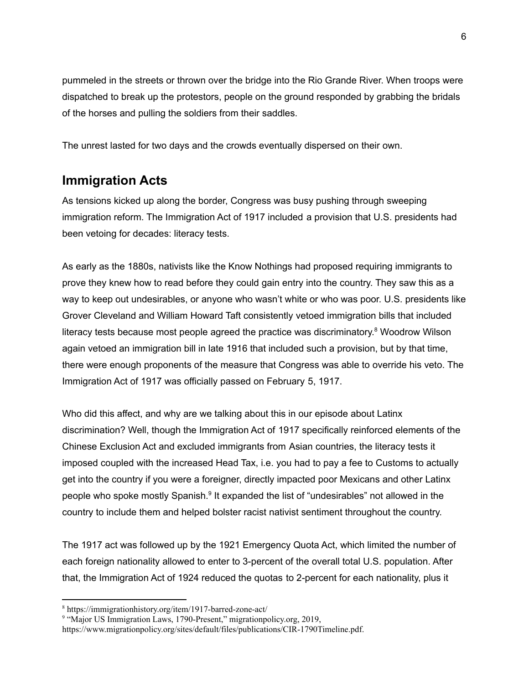pummeled in the streets or thrown over the bridge into the Rio Grande River. When troops were dispatched to break up the protestors, people on the ground responded by grabbing the bridals of the horses and pulling the soldiers from their saddles.

The unrest lasted for two days and the crowds eventually dispersed on their own.

# **Immigration Acts**

As tensions kicked up along the border, Congress was busy pushing through sweeping immigration reform. The Immigration Act of 1917 included a provision that U.S. presidents had been vetoing for decades: literacy tests.

As early as the 1880s, nativists like the Know Nothings had proposed requiring immigrants to prove they knew how to read before they could gain entry into the country. They saw this as a way to keep out undesirables, or anyone who wasn't white or who was poor. U.S. presidents like Grover Cleveland and William Howard Taft consistently vetoed immigration bills that included literacy tests because most people agreed the practice was discriminatory.<sup>8</sup> Woodrow Wilson again vetoed an immigration bill in late 1916 that included such a provision, but by that time, there were enough proponents of the measure that Congress was able to override his veto. The Immigration Act of 1917 was officially passed on February 5, 1917.

Who did this affect, and why are we talking about this in our episode about Latinx discrimination? Well, though the Immigration Act of 1917 specifically reinforced elements of the Chinese Exclusion Act and excluded immigrants from Asian countries, the literacy tests it imposed coupled with the increased Head Tax, i.e. you had to pay a fee to Customs to actually get into the country if you were a foreigner, directly impacted poor Mexicans and other Latinx people who spoke mostly Spanish.<sup>9</sup> It expanded the list of "undesirables" not allowed in the country to include them and helped bolster racist nativist sentiment throughout the country.

The 1917 act was followed up by the 1921 Emergency Quota Act, which limited the number of each foreign nationality allowed to enter to 3-percent of the overall total U.S. population. After that, the Immigration Act of 1924 reduced the quotas to 2-percent for each nationality, plus it

<sup>8</sup> https://immigrationhistory.org/item/1917-barred-zone-act/

<sup>&</sup>lt;sup>9</sup> "Major US Immigration Laws, 1790-Present," migrationpolicy.org, 2019,

<https://www.migrationpolicy.org/sites/default/files/publications/CIR-1790Timeline.pdf>.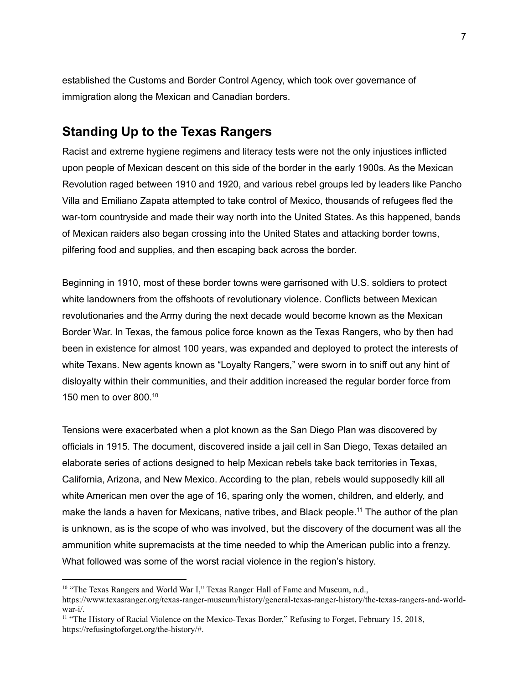established the Customs and Border Control Agency, which took over governance of immigration along the Mexican and Canadian borders.

## **Standing Up to the Texas Rangers**

Racist and extreme hygiene regimens and literacy tests were not the only injustices inflicted upon people of Mexican descent on this side of the border in the early 1900s. As the Mexican Revolution raged between 1910 and 1920, and various rebel groups led by leaders like Pancho Villa and Emiliano Zapata attempted to take control of Mexico, thousands of refugees fled the war-torn countryside and made their way north into the United States. As this happened, bands of Mexican raiders also began crossing into the United States and attacking border towns, pilfering food and supplies, and then escaping back across the border.

Beginning in 1910, most of these border towns were garrisoned with U.S. soldiers to protect white landowners from the offshoots of revolutionary violence. Conflicts between Mexican revolutionaries and the Army during the next decade would become known as the Mexican Border War. In Texas, the famous police force known as the Texas Rangers, who by then had been in existence for almost 100 years, was expanded and deployed to protect the interests of white Texans. New agents known as "Loyalty Rangers," were sworn in to sniff out any hint of disloyalty within their communities, and their addition increased the regular border force from 150 men to over 800. 10

Tensions were exacerbated when a plot known as the San Diego Plan was discovered by officials in 1915. The document, discovered inside a jail cell in San Diego, Texas detailed an elaborate series of actions designed to help Mexican rebels take back territories in Texas, California, Arizona, and New Mexico. According to the plan, rebels would supposedly kill all white American men over the age of 16, sparing only the women, children, and elderly, and make the lands a haven for Mexicans, native tribes, and Black people.<sup>11</sup> The author of the plan is unknown, as is the scope of who was involved, but the discovery of the document was all the ammunition white supremacists at the time needed to whip the American public into a frenzy. What followed was some of the worst racial violence in the region's history.

<sup>&</sup>lt;sup>10</sup> "The Texas Rangers and World War I," Texas Ranger Hall of Fame and Museum, n.d.,

[https://www.texasranger.org/texas-ranger-museum/history/general-texas-ranger-history/the-texas-rangers-and-world](https://www.texasranger.org/texas-ranger-museum/history/general-texas-ranger-history/the-texas-rangers-and-world-war-i/)[war-i/.](https://www.texasranger.org/texas-ranger-museum/history/general-texas-ranger-history/the-texas-rangers-and-world-war-i/)

<sup>&</sup>lt;sup>11</sup> "The History of Racial Violence on the Mexico-Texas Border," Refusing to Forget, February 15, 2018, <https://refusingtoforget.org/the-history/#>.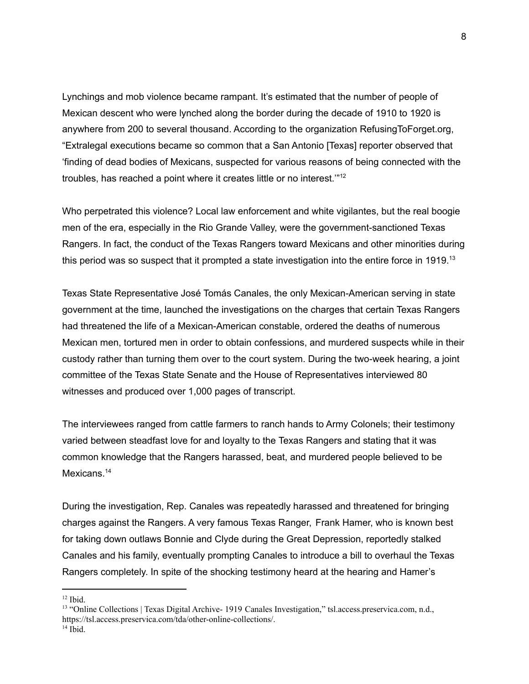Lynchings and mob violence became rampant. It's estimated that the number of people of Mexican descent who were lynched along the border during the decade of 1910 to 1920 is anywhere from 200 to several thousand. According to the organization RefusingToForget.org, "Extralegal executions became so common that a San Antonio [Texas] reporter observed that 'finding of dead bodies of Mexicans, suspected for various reasons of being connected with the troubles, has reached a point where it creates little or no interest.""<sup>12</sup>

Who perpetrated this violence? Local law enforcement and white vigilantes, but the real boogie men of the era, especially in the Rio Grande Valley, were the government-sanctioned Texas Rangers. In fact, the conduct of the Texas Rangers toward Mexicans and other minorities during this period was so suspect that it prompted a state investigation into the entire force in 1919.<sup>13</sup>

Texas State Representative José Tomás Canales, the only Mexican-American serving in state government at the time, launched the investigations on the charges that certain Texas Rangers had threatened the life of a Mexican-American constable, ordered the deaths of numerous Mexican men, tortured men in order to obtain confessions, and murdered suspects while in their custody rather than turning them over to the court system. During the two-week hearing, a joint committee of the Texas State Senate and the House of Representatives interviewed 80 witnesses and produced over 1,000 pages of transcript.

The interviewees ranged from cattle farmers to ranch hands to Army Colonels; their testimony varied between steadfast love for and loyalty to the Texas Rangers and stating that it was common knowledge that the Rangers harassed, beat, and murdered people believed to be Mexicans.<sup>14</sup>

During the investigation, Rep. Canales was repeatedly harassed and threatened for bringing charges against the Rangers. A very famous Texas Ranger, Frank Hamer, who is known best for taking down outlaws Bonnie and Clyde during the Great Depression, reportedly stalked Canales and his family, eventually prompting Canales to introduce a bill to overhaul the Texas Rangers completely. In spite of the shocking testimony heard at the hearing and Hamer's

 $14$  Ibid.

 $12$  Ibid.

<sup>&</sup>lt;sup>13</sup> "Online Collections | Texas Digital Archive- 1919 Canales Investigation," tsl.access.preservica.com, n.d., <https://tsl.access.preservica.com/tda/other-online-collections/>.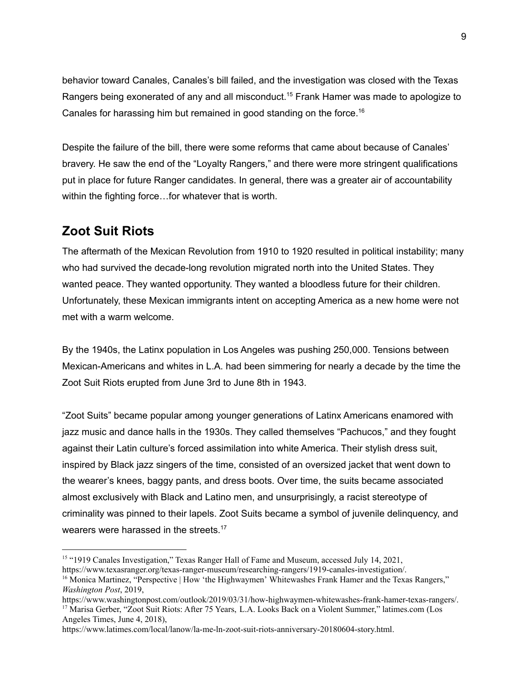behavior toward Canales, Canales's bill failed, and the investigation was closed with the Texas Rangers being exonerated of any and all misconduct.<sup>15</sup> Frank Hamer was made to apologize to Canales for harassing him but remained in good standing on the force. 16

Despite the failure of the bill, there were some reforms that came about because of Canales' bravery. He saw the end of the "Loyalty Rangers," and there were more stringent qualifications put in place for future Ranger candidates. In general, there was a greater air of accountability within the fighting force...for whatever that is worth.

## **Zoot Suit Riots**

The aftermath of the Mexican Revolution from 1910 to 1920 resulted in political instability; many who had survived the decade-long revolution migrated north into the United States. They wanted peace. They wanted opportunity. They wanted a bloodless future for their children. Unfortunately, these Mexican immigrants intent on accepting America as a new home were not met with a warm welcome.

By the 1940s, the Latinx population in Los Angeles was pushing 250,000. Tensions between Mexican-Americans and whites in L.A. had been simmering for nearly a decade by the time the Zoot Suit Riots erupted from June 3rd to June 8th in 1943.

"Zoot Suits" became popular among younger generations of Latinx Americans enamored with jazz music and dance halls in the 1930s. They called themselves "Pachucos," and they fought against their Latin culture's forced assimilation into white America. Their stylish dress suit, inspired by Black jazz singers of the time, consisted of an oversized jacket that went down to the wearer's knees, baggy pants, and dress boots. Over time, the suits became associated almost exclusively with Black and Latino men, and unsurprisingly, a racist stereotype of criminality was pinned to their lapels. Zoot Suits became a symbol of juvenile delinquency, and wearers were harassed in the streets.<sup>17</sup>

<sup>&</sup>lt;sup>15</sup> "1919 Canales Investigation," Texas Ranger Hall of Fame and Museum, accessed July 14, 2021,

<https://www.texasranger.org/texas-ranger-museum/researching-rangers/1919-canales-investigation/>.

<sup>&</sup>lt;sup>16</sup> Monica Martinez, "Perspective | How 'the Highwaymen' Whitewashes Frank Hamer and the Texas Rangers," *Washington Post*, 2019,

<sup>&</sup>lt;sup>17</sup> Marisa Gerber, "Zoot Suit Riots: After 75 Years, L.A. Looks Back on a Violent Summer," latimes.com (Los Angeles Times, June 4, 2018), [https://www.washingtonpost.com/outlook/2019/03/31/how-highwaymen-whitewashes-frank-hamer-texas-rangers/.](https://www.washingtonpost.com/outlook/2019/03/31/how-highwaymen-whitewashes-frank-hamer-texas-rangers/)

<https://www.latimes.com/local/lanow/la-me-ln-zoot-suit-riots-anniversary-20180604-story.html>.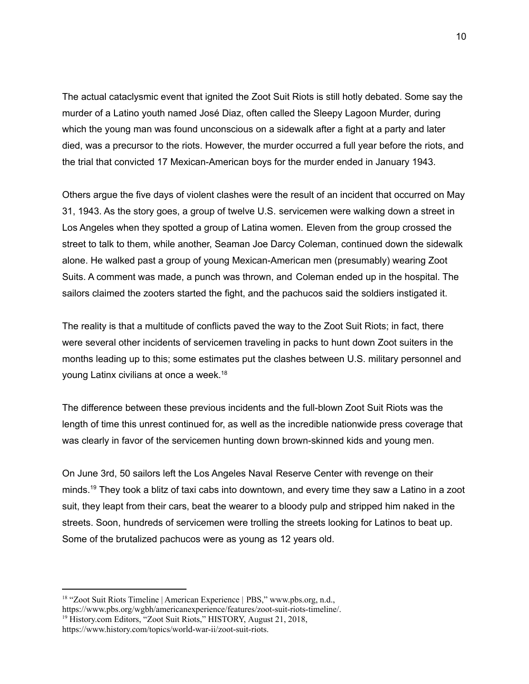The actual cataclysmic event that ignited the Zoot Suit Riots is still hotly debated. Some say the murder of a Latino youth named José Diaz, often called the Sleepy Lagoon Murder, during which the young man was found unconscious on a sidewalk after a fight at a party and later died, was a precursor to the riots. However, the murder occurred a full year before the riots, and the trial that convicted 17 Mexican-American boys for the murder ended in January 1943.

Others argue the five days of violent clashes were the result of an incident that occurred on May 31, 1943. As the story goes, a group of twelve U.S. servicemen were walking down a street in Los Angeles when they spotted a group of Latina women. Eleven from the group crossed the street to talk to them, while another, Seaman Joe Darcy Coleman, continued down the sidewalk alone. He walked past a group of young Mexican-American men (presumably) wearing Zoot Suits. A comment was made, a punch was thrown, and Coleman ended up in the hospital. The sailors claimed the zooters started the fight, and the pachucos said the soldiers instigated it.

The reality is that a multitude of conflicts paved the way to the Zoot Suit Riots; in fact, there were several other incidents of servicemen traveling in packs to hunt down Zoot suiters in the months leading up to this; some estimates put the clashes between U.S. military personnel and young Latinx civilians at once a week. 18

The difference between these previous incidents and the full-blown Zoot Suit Riots was the length of time this unrest continued for, as well as the incredible nationwide press coverage that was clearly in favor of the servicemen hunting down brown-skinned kids and young men.

On June 3rd, 50 sailors left the Los Angeles Naval Reserve Center with revenge on their minds.<sup>19</sup> They took a blitz of taxi cabs into downtown, and every time they saw a Latino in a zoot suit, they leapt from their cars, beat the wearer to a bloody pulp and stripped him naked in the streets. Soon, hundreds of servicemen were trolling the streets looking for Latinos to beat up. Some of the brutalized pachucos were as young as 12 years old.

<sup>&</sup>lt;sup>18</sup> "Zoot Suit Riots Timeline | American Experience | PBS," www.pbs.org, n.d., [https://www.pbs.org/wgbh/americanexperience/features/zoot-suit-riots-timeline/.](https://www.pbs.org/wgbh/americanexperience/features/zoot-suit-riots-timeline/)

<sup>&</sup>lt;sup>19</sup> History.com Editors, "Zoot Suit Riots," HISTORY, August 21, 2018, [https://www.history.com/topics/world-war-ii/zoot-suit-riots.](https://www.history.com/topics/world-war-ii/zoot-suit-riots)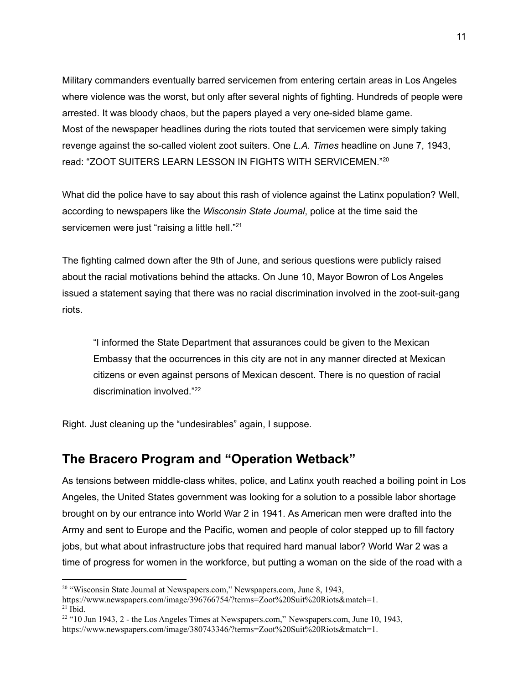Military commanders eventually barred servicemen from entering certain areas in Los Angeles where violence was the worst, but only after several nights of fighting. Hundreds of people were arrested. It was bloody chaos, but the papers played a very one-sided blame game. Most of the newspaper headlines during the riots touted that servicemen were simply taking revenge against the so-called violent zoot suiters. One *L.A. Times* headline on June 7, 1943, read: "ZOOT SUITERS LEARN LESSON IN FIGHTS WITH SERVICEMEN." 20

What did the police have to say about this rash of violence against the Latinx population? Well, according to newspapers like the *Wisconsin State Journal*, police at the time said the servicemen were just "raising a little hell."<sup>21</sup>

The fighting calmed down after the 9th of June, and serious questions were publicly raised about the racial motivations behind the attacks. On June 10, Mayor Bowron of Los Angeles issued a statement saying that there was no racial discrimination involved in the zoot-suit-gang riots.

"I informed the State Department that assurances could be given to the Mexican Embassy that the occurrences in this city are not in any manner directed at Mexican citizens or even against persons of Mexican descent. There is no question of racial discrimination involved." 22

Right. Just cleaning up the "undesirables" again, I suppose.

## **The Bracero Program and "Operation Wetback"**

As tensions between middle-class whites, police, and Latinx youth reached a boiling point in Los Angeles, the United States government was looking for a solution to a possible labor shortage brought on by our entrance into World War 2 in 1941. As American men were drafted into the Army and sent to Europe and the Pacific, women and people of color stepped up to fill factory jobs, but what about infrastructure jobs that required hard manual labor? World War 2 was a time of progress for women in the workforce, but putting a woman on the side of the road with a

<sup>&</sup>lt;sup>20</sup> "Wisconsin State Journal at Newspapers.com," Newspapers.com, June 8, 1943,

 $21$  Ibid. <https://www.newspapers.com/image/396766754/?terms=Zoot%20Suit%20Riots&match=1>.

 $22$  "10 Jun 1943, 2 - the Los Angeles Times at Newspapers.com," Newspapers.com, June 10, 1943, <https://www.newspapers.com/image/380743346/?terms=Zoot%20Suit%20Riots&match=1>.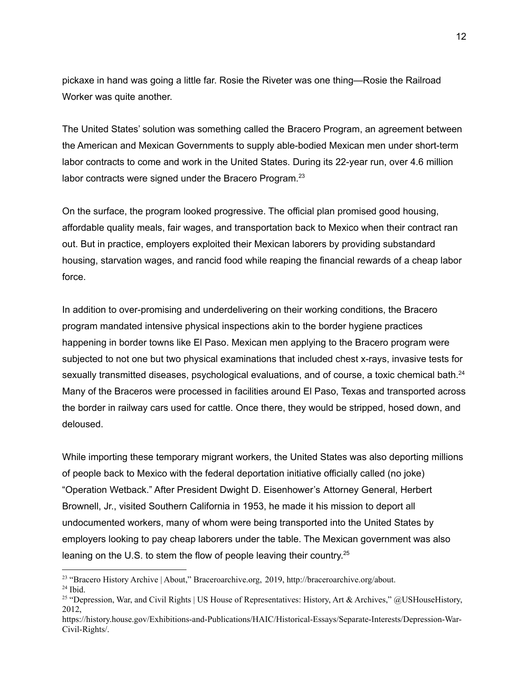pickaxe in hand was going a little far. Rosie the Riveter was one thing—Rosie the Railroad Worker was quite another.

The United States' solution was something called the Bracero Program, an agreement between the American and Mexican Governments to supply able-bodied Mexican men under short-term labor contracts to come and work in the United States. During its 22-year run, over 4.6 million labor contracts were signed under the Bracero Program.<sup>23</sup>

On the surface, the program looked progressive. The official plan promised good housing, affordable quality meals, fair wages, and transportation back to Mexico when their contract ran out. But in practice, employers exploited their Mexican laborers by providing substandard housing, starvation wages, and rancid food while reaping the financial rewards of a cheap labor force.

In addition to over-promising and underdelivering on their working conditions, the Bracero program mandated intensive physical inspections akin to the border hygiene practices happening in border towns like El Paso. Mexican men applying to the Bracero program were subjected to not one but two physical examinations that included chest x-rays, invasive tests for sexually transmitted diseases, psychological evaluations, and of course, a toxic chemical bath.<sup>24</sup> Many of the Braceros were processed in facilities around El Paso, Texas and transported across the border in railway cars used for cattle. Once there, they would be stripped, hosed down, and deloused.

While importing these temporary migrant workers, the United States was also deporting millions of people back to Mexico with the federal deportation initiative officially called (no joke) "Operation Wetback." After President Dwight D. Eisenhower's Attorney General, Herbert Brownell, Jr., visited Southern California in 1953, he made it his mission to deport all undocumented workers, many of whom were being transported into the United States by employers looking to pay cheap laborers under the table. The Mexican government was also leaning on the U.S. to stem the flow of people leaving their country.<sup>25</sup>

<sup>&</sup>lt;sup>23</sup> "Bracero History Archive | About," Braceroarchive.org, 2019, [http://braceroarchive.org/about.](http://braceroarchive.org/about)

 $24$  Ibid.

<sup>&</sup>lt;sup>25</sup> "Depression, War, and Civil Rights | US House of Representatives: History, Art & Archives," @USHouseHistory, 2012,

[https://history.house.gov/Exhibitions-and-Publications/HAIC/Historical-Essays/Separate-Interests/Depression-War-](https://history.house.gov/Exhibitions-and-Publications/HAIC/Historical-Essays/Separate-Interests/Depression-War-Civil-Rights/)[Civil-Rights/](https://history.house.gov/Exhibitions-and-Publications/HAIC/Historical-Essays/Separate-Interests/Depression-War-Civil-Rights/).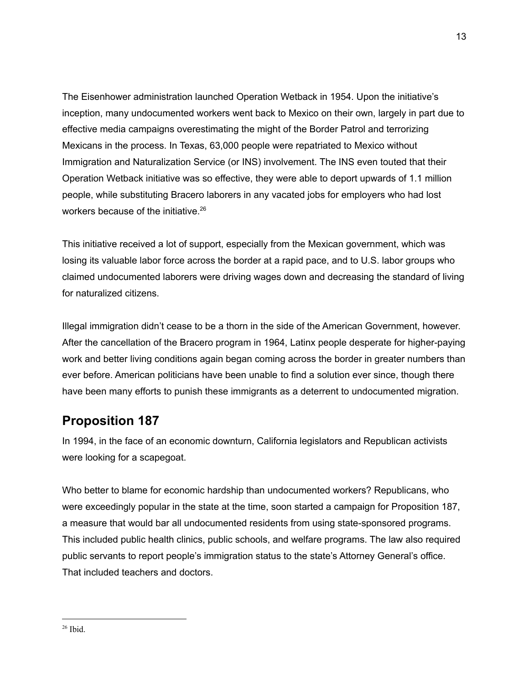The Eisenhower administration launched Operation Wetback in 1954. Upon the initiative's inception, many undocumented workers went back to Mexico on their own, largely in part due to effective media campaigns overestimating the might of the Border Patrol and terrorizing Mexicans in the process. In Texas, 63,000 people were repatriated to Mexico without Immigration and Naturalization Service (or INS) involvement. The INS even touted that their Operation Wetback initiative was so effective, they were able to deport upwards of 1.1 million people, while substituting Bracero laborers in any vacated jobs for employers who had lost workers because of the initiative. 26

This initiative received a lot of support, especially from the Mexican government, which was losing its valuable labor force across the border at a rapid pace, and to U.S. labor groups who claimed undocumented laborers were driving wages down and decreasing the standard of living for naturalized citizens.

Illegal immigration didn't cease to be a thorn in the side of the American Government, however. After the cancellation of the Bracero program in 1964, Latinx people desperate for higher-paying work and better living conditions again began coming across the border in greater numbers than ever before. American politicians have been unable to find a solution ever since, though there have been many efforts to punish these immigrants as a deterrent to undocumented migration.

# **Proposition 187**

In 1994, in the face of an economic downturn, California legislators and Republican activists were looking for a scapegoat.

Who better to blame for economic hardship than undocumented workers? Republicans, who were exceedingly popular in the state at the time, soon started a campaign for Proposition 187, a measure that would bar all undocumented residents from using state-sponsored programs. This included public health clinics, public schools, and welfare programs. The law also required public servants to report people's immigration status to the state's Attorney General's office. That included teachers and doctors.

 $26$  Ibid.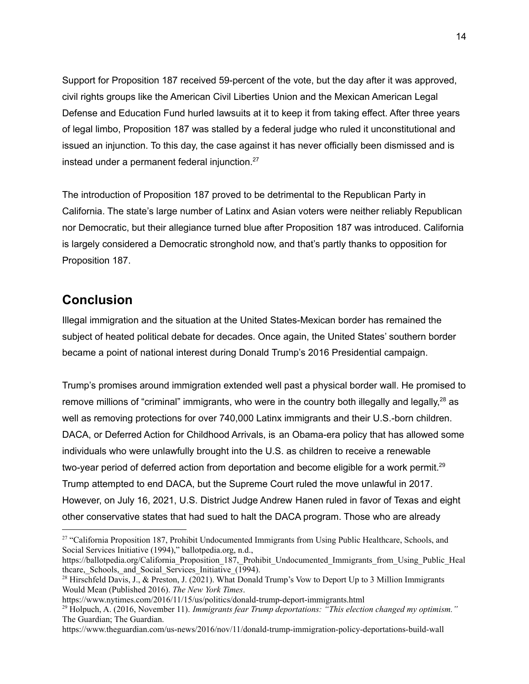Support for Proposition 187 received 59-percent of the vote, but the day after it was approved, civil rights groups like the American Civil Liberties Union and the Mexican American Legal Defense and Education Fund hurled lawsuits at it to keep it from taking effect. After three years of legal limbo, Proposition 187 was stalled by a federal judge who ruled it unconstitutional and issued an injunction. To this day, the case against it has never officially been dismissed and is instead under a permanent federal injunction. 27

The introduction of Proposition 187 proved to be detrimental to the Republican Party in California. The state's large number of Latinx and Asian voters were neither reliably Republican nor Democratic, but their allegiance turned blue after Proposition 187 was introduced. California is largely considered a Democratic stronghold now, and that's partly thanks to opposition for Proposition 187.

## **Conclusion**

Illegal immigration and the situation at the United States-Mexican border has remained the subject of heated political debate for decades. Once again, the United States' southern border became a point of national interest during Donald Trump's 2016 Presidential campaign.

Trump's promises around immigration extended well past a physical border wall. He promised to remove millions of "criminal" immigrants, who were in the country both illegally and legally,<sup>28</sup> as well as removing protections for over 740,000 Latinx immigrants and their U.S.-born children. DACA, or Deferred Action for Childhood Arrivals, is an Obama-era policy that has allowed some individuals who were unlawfully brought into the U.S. as children to receive a renewable two-year period of deferred action from deportation and become eligible for a work permit.<sup>29</sup> Trump attempted to end DACA, but the Supreme Court ruled the move unlawful in 2017. However, on July 16, 2021, U.S. District Judge Andrew Hanen ruled in favor of Texas and eight other conservative states that had sued to halt the DACA program. Those who are already

<sup>27</sup> "California Proposition 187, Prohibit Undocumented Immigrants from Using Public Healthcare, Schools, and Social Services Initiative (1994)," ballotpedia.org, n.d.,

[https://ballotpedia.org/California\\_Proposition\\_187,\\_Prohibit\\_Undocumented\\_Immigrants\\_from\\_Using\\_Public\\_Heal](https://ballotpedia.org/California_Proposition_187,_Prohibit_Undocumented_Immigrants_from_Using_Public_Healthcare,_Schools,_and_Social_Services_Initiative_(1994)) thcare, Schools, and Social Services Initiative  $(1994)$ .

<sup>&</sup>lt;sup>28</sup> Hirschfeld Davis, J., & Preston, J. (2021). What Donald Trump's Vow to Deport Up to 3 Million Immigrants Would Mean (Published 2016). *The New York Times*.

<https://www.nytimes.com/2016/11/15/us/politics/donald-trump-deport-immigrants.html>

<sup>29</sup> Holpuch, A. (2016, November 11). *Immigrants fear Trump deportations: "This election changed my optimism."* The Guardian; The Guardian.

<https://www.theguardian.com/us-news/2016/nov/11/donald-trump-immigration-policy-deportations-build-wall>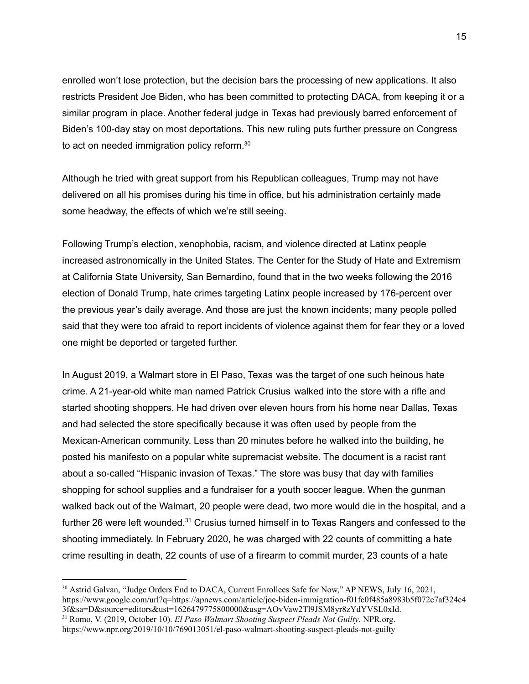enrolled won't lose protection, but the decision bars the processing of new applications. It also restricts President Joe Biden, who has been committed to protecting DACA, from keeping it or a similar program in place. Another federal judge in Texas had previously barred enforcement of Biden's 100-day stay on most deportations. This new ruling puts further pressure on Congress to act on needed immigration policy reform.<sup>30</sup>

Although he tried with great support from his Republican colleagues, Trump may not have delivered on all his promises during his time in office, but his administration certainly made some headway, the effects of which we're still seeing.

Following Trump's election, xenophobia, racism, and violence directed at Latinx people increased astronomically in the United States. The Center for the Study of Hate and Extremism at California State University, San Bernardino, found that in the two weeks following the 2016 election of Donald Trump, hate crimes targeting Latinx people increased by 176-percent over the previous year's daily average. And those are just the known incidents; many people polled said that they were too afraid to report incidents of violence against them for fear they or a loved one might be deported or targeted further.

In August 2019, a Walmart store in El Paso, Texas was the target of one such heinous hate crime. A 21-year-old white man named Patrick Crusius walked into the store with a rifle and started shooting shoppers. He had driven over eleven hours from his home near Dallas, Texas and had selected the store specifically because it was often used by people from the Mexican-American community. Less than 20 minutes before he walked into the building, he posted his manifesto on a popular white supremacist website. The document is a racist rant about a so-called "Hispanic invasion of Texas." The store was busy that day with families shopping for school supplies and a fundraiser for a youth soccer league. When the gunman walked back out of the Walmart, 20 people were dead, two more would die in the hospital, and a further 26 were left wounded.<sup>31</sup> Crusius turned himself in to Texas Rangers and confessed to the shooting immediately. In February 2020, he was charged with 22 counts of committing a hate crime resulting in death, 22 counts of use of a firearm to commit murder, 23 counts of a hate

<sup>&</sup>lt;sup>30</sup> Astrid Galvan, "Judge Orders End to DACA, Current Enrollees Safe for Now," AP NEWS, July 16, 2021, [https://www.google.com/url?q=https://apnews.com/article/joe-biden-immigration-f01fc0f485a8983b5f072e7af324c4](https://apnews.com/article/joe-biden-immigration-f01fc0f485a8983b5f072e7af324c43f) [3f&sa=D&source=editors&ust=1626479775800000&usg=AOvVaw2Tl9JSM8yr8zYdYVSL0xId](https://apnews.com/article/joe-biden-immigration-f01fc0f485a8983b5f072e7af324c43f).

<sup>31</sup> Romo, V. (2019, October 10). *El Paso Walmart Shooting Suspect Pleads Not Guilty*. NPR.org. <https://www.npr.org/2019/10/10/769013051/el-paso-walmart-shooting-suspect-pleads-not-guilty>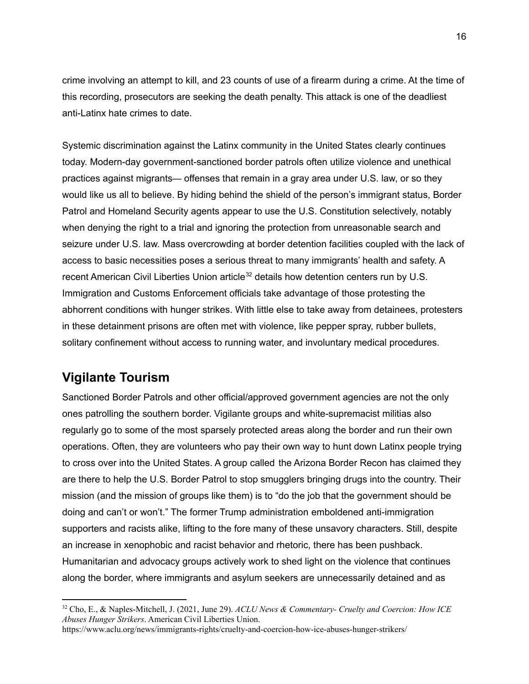crime involving an attempt to kill, and 23 counts of use of a firearm during a crime. At the time of this recording, prosecutors are seeking the death penalty. This attack is one of the deadliest anti-Latinx hate crimes to date.

Systemic discrimination against the Latinx community in the United States clearly continues today. Modern-day government-sanctioned border patrols often utilize violence and unethical practices against migrants— offenses that remain in a gray area under U.S. law, or so they would like us all to believe. By hiding behind the shield of the person's immigrant status, Border Patrol and Homeland Security agents appear to use the U.S. Constitution selectively, notably when denying the right to a trial and ignoring the protection from unreasonable search and seizure under U.S. law. Mass overcrowding at border detention facilities coupled with the lack of access to basic necessities poses a serious threat to many immigrants' health and safety. A recent American Civil Liberties Union article<sup>32</sup> details how detention centers run by U.S. Immigration and Customs Enforcement officials take advantage of those protesting the abhorrent conditions with hunger strikes. With little else to take away from detainees, protesters in these detainment prisons are often met with violence, like pepper spray, rubber bullets, solitary confinement without access to running water, and involuntary medical procedures.

## **Vigilante Tourism**

Sanctioned Border Patrols and other official/approved government agencies are not the only ones patrolling the southern border. Vigilante groups and white-supremacist militias also regularly go to some of the most sparsely protected areas along the border and run their own operations. Often, they are volunteers who pay their own way to hunt down Latinx people trying to cross over into the United States. A group called the Arizona Border Recon has claimed they are there to help the U.S. Border Patrol to stop smugglers bringing drugs into the country. Their mission (and the mission of groups like them) is to "do the job that the government should be doing and can't or won't." The former Trump administration emboldened anti-immigration supporters and racists alike, lifting to the fore many of these unsavory characters. Still, despite an increase in xenophobic and racist behavior and rhetoric, there has been pushback. Humanitarian and advocacy groups actively work to shed light on the violence that continues along the border, where immigrants and asylum seekers are unnecessarily detained and as

<sup>32</sup> Cho, E., & Naples-Mitchell, J. (2021, June 29). *ACLU News & Commentary- Cruelty and Coercion: How ICE Abuses Hunger Strikers*. American Civil Liberties Union.

<https://www.aclu.org/news/immigrants-rights/cruelty-and-coercion-how-ice-abuses-hunger-strikers/>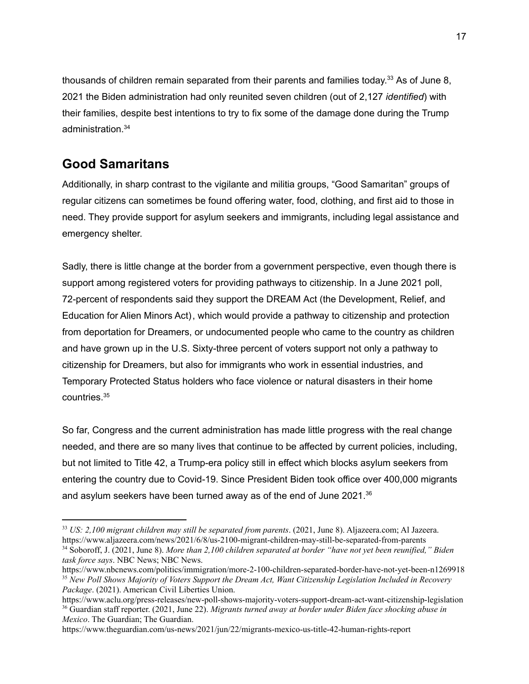thousands of children remain separated from their parents and families today.<sup>33</sup> As of June 8, 2021 the Biden administration had only reunited seven children (out of 2,127 *identified*) with their families, despite best intentions to try to fix some of the damage done during the Trump administration. 34

# **Good Samaritans**

Additionally, in sharp contrast to the vigilante and militia groups, "Good Samaritan" groups of regular citizens can sometimes be found offering water, food, clothing, and first aid to those in need. They provide support for asylum seekers and immigrants, including legal assistance and emergency shelter.

Sadly, there is little change at the border from a government perspective, even though there is support among registered voters for providing pathways to citizenship. In a June 2021 poll, 72-percent of respondents said they support the DREAM Act (the Development, Relief, and Education for Alien Minors Act), which would provide a pathway to citizenship and protection from deportation for Dreamers, or undocumented people who came to the country as children and have grown up in the U.S. Sixty-three percent of voters support not only a pathway to citizenship for Dreamers, but also for immigrants who work in essential industries, and Temporary Protected Status holders who face violence or natural disasters in their home countries. 35

So far, Congress and the current administration has made little progress with the real change needed, and there are so many lives that continue to be affected by current policies, including, but not limited to Title 42, a Trump-era policy still in effect which blocks asylum seekers from entering the country due to Covid-19. Since President Biden took office over 400,000 migrants and asylum seekers have been turned away as of the end of June 2021. $36$ 

<sup>33</sup> *US: 2,100 migrant children may still be separated from parents*. (2021, June 8). Aljazeera.com; Al Jazeera. <https://www.aljazeera.com/news/2021/6/8/us-2100-migrant-children-may-still-be-separated-from-parents>

<sup>34</sup> Soboroff, J. (2021, June 8). *More than 2,100 children separated at border "have not yet been reunified," Biden task force says*. NBC News; NBC News.

<sup>35</sup> *New Poll Shows Majority of Voters Support the Dream Act, Want Citizenship Legislation Included in Recovery Package*. (2021). American Civil Liberties Union. <https://www.nbcnews.com/politics/immigration/more-2-100-children-separated-border-have-not-yet-been-n1269918>

<sup>36</sup> Guardian staff reporter. (2021, June 22). *Migrants turned away at border under Biden face shocking abuse in Mexico*. The Guardian; The Guardian. <https://www.aclu.org/press-releases/new-poll-shows-majority-voters-support-dream-act-want-citizenship-legislation>

<https://www.theguardian.com/us-news/2021/jun/22/migrants-mexico-us-title-42-human-rights-report>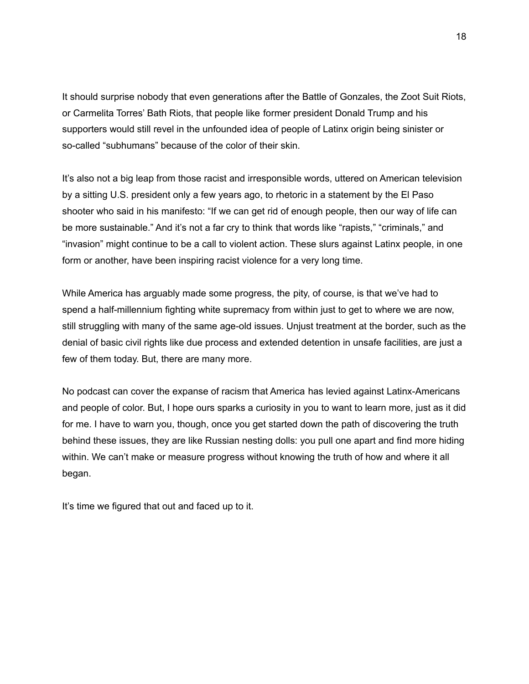It should surprise nobody that even generations after the Battle of Gonzales, the Zoot Suit Riots, or Carmelita Torres' Bath Riots, that people like former president Donald Trump and his supporters would still revel in the unfounded idea of people of Latinx origin being sinister or so-called "subhumans" because of the color of their skin.

It's also not a big leap from those racist and irresponsible words, uttered on American television by a sitting U.S. president only a few years ago, to rhetoric in a statement by the El Paso shooter who said in his manifesto: "If we can get rid of enough people, then our way of life can be more sustainable." And it's not a far cry to think that words like "rapists," "criminals," and "invasion" might continue to be a call to violent action. These slurs against Latinx people, in one form or another, have been inspiring racist violence for a very long time.

While America has arguably made some progress, the pity, of course, is that we've had to spend a half-millennium fighting white supremacy from within just to get to where we are now, still struggling with many of the same age-old issues. Unjust treatment at the border, such as the denial of basic civil rights like due process and extended detention in unsafe facilities, are just a few of them today. But, there are many more.

No podcast can cover the expanse of racism that America has levied against Latinx-Americans and people of color. But, I hope ours sparks a curiosity in you to want to learn more, just as it did for me. I have to warn you, though, once you get started down the path of discovering the truth behind these issues, they are like Russian nesting dolls: you pull one apart and find more hiding within. We can't make or measure progress without knowing the truth of how and where it all began.

It's time we figured that out and faced up to it.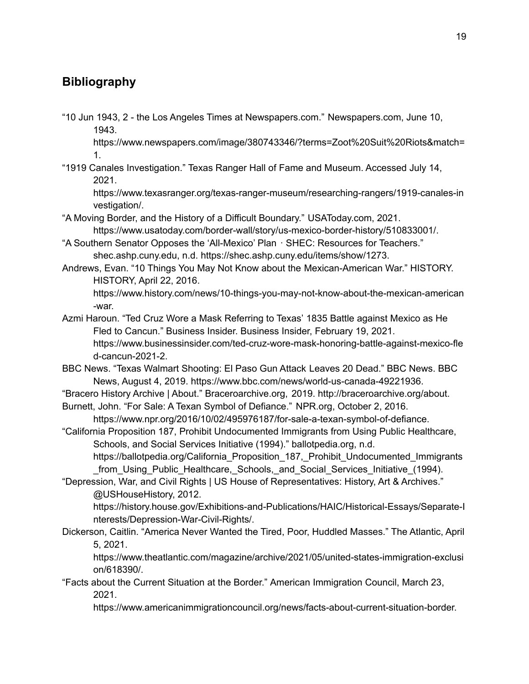# **Bibliography**

"10 Jun 1943, 2 - the Los Angeles Times at Newspapers.com." Newspapers.com, June 10, 1943.

https://www.newspapers.com/image/380743346/?terms=Zoot%20Suit%20Riots&match= 1.

"1919 Canales Investigation." Texas Ranger Hall of Fame and Museum. Accessed July 14, 2021.

https://www.texasranger.org/texas-ranger-museum/researching-rangers/1919-canales-in vestigation/.

- "A Moving Border, and the History of a Difficult Boundary." USAToday.com, 2021. https://www.usatoday.com/border-wall/story/us-mexico-border-history/510833001/.
- "A Southern Senator Opposes the 'All-Mexico' Plan · SHEC: Resources for Teachers." shec.ashp.cuny.edu, n.d. https://shec.ashp.cuny.edu/items/show/1273.
- Andrews, Evan. "10 Things You May Not Know about the Mexican-American War." HISTORY. HISTORY, April 22, 2016.

https://www.history.com/news/10-things-you-may-not-know-about-the-mexican-american -war.

- Azmi Haroun. "Ted Cruz Wore a Mask Referring to Texas' 1835 Battle against Mexico as He Fled to Cancun." Business Insider. Business Insider, February 19, 2021. https://www.businessinsider.com/ted-cruz-wore-mask-honoring-battle-against-mexico-fle d-cancun-2021-2.
- BBC News. "Texas Walmart Shooting: El Paso Gun Attack Leaves 20 Dead." BBC News. BBC News, August 4, 2019. https://www.bbc.com/news/world-us-canada-49221936.

"Bracero History Archive | About." Braceroarchive.org, 2019. http://braceroarchive.org/about.

Burnett, John. "For Sale: A Texan Symbol of Defiance." NPR.org, October 2, 2016. https://www.npr.org/2016/10/02/495976187/for-sale-a-texan-symbol-of-defiance.

"California Proposition 187, Prohibit Undocumented Immigrants from Using Public Healthcare, Schools, and Social Services Initiative (1994)." ballotpedia.org, n.d.

https://ballotpedia.org/California\_Proposition\_187,\_Prohibit\_Undocumented\_Immigrants \_from\_Using\_Public\_Healthcare,\_Schools,\_and\_Social\_Services\_Initiative\_(1994).

"Depression, War, and Civil Rights | US House of Representatives: History, Art & Archives." @USHouseHistory, 2012.

https://history.house.gov/Exhibitions-and-Publications/HAIC/Historical-Essays/Separate-I nterests/Depression-War-Civil-Rights/.

Dickerson, Caitlin. "America Never Wanted the Tired, Poor, Huddled Masses." The Atlantic, April 5, 2021.

https://www.theatlantic.com/magazine/archive/2021/05/united-states-immigration-exclusi on/618390/.

"Facts about the Current Situation at the Border." American Immigration Council, March 23, 2021.

https://www.americanimmigrationcouncil.org/news/facts-about-current-situation-border.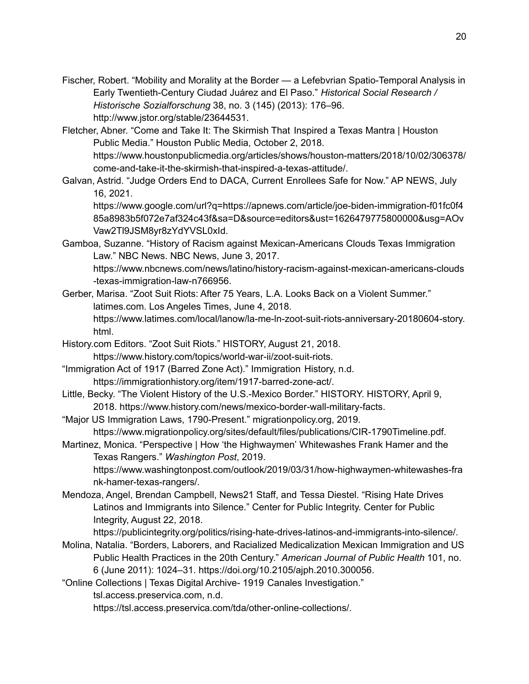- Fischer, Robert. "Mobility and Morality at the Border a Lefebvrian Spatio-Temporal Analysis in Early Twentieth-Century Ciudad Juárez and El Paso." *Historical Social Research / Historische Sozialforschung* 38, no. 3 (145) (2013): 176–96. http://www.jstor.org/stable/23644531.
- Fletcher, Abner. "Come and Take It: The Skirmish That Inspired a Texas Mantra | Houston Public Media." Houston Public Media, October 2, 2018. https://www.houstonpublicmedia.org/articles/shows/houston-matters/2018/10/02/306378/ come-and-take-it-the-skirmish-that-inspired-a-texas-attitude/.
- Galvan, Astrid. "Judge Orders End to DACA, Current Enrollees Safe for Now." AP NEWS, July 16, 2021.

https://www.google.com/url?q=https://apnews.com/article/joe-biden-immigration-f01fc0f4 85a8983b5f072e7af324c43f&sa=D&source=editors&ust=1626479775800000&usg=AOv Vaw2Tl9JSM8yr8zYdYVSL0xId.

Gamboa, Suzanne. "History of Racism against Mexican-Americans Clouds Texas Immigration Law." NBC News. NBC News, June 3, 2017. https://www.nbcnews.com/news/latino/history-racism-against-mexican-americans-clouds

-texas-immigration-law-n766956.

- Gerber, Marisa. "Zoot Suit Riots: After 75 Years, L.A. Looks Back on a Violent Summer." latimes.com. Los Angeles Times, June 4, 2018. https://www.latimes.com/local/lanow/la-me-ln-zoot-suit-riots-anniversary-20180604-story. html.
- History.com Editors. "Zoot Suit Riots." HISTORY, August 21, 2018. https://www.history.com/topics/world-war-ii/zoot-suit-riots.
- "Immigration Act of 1917 (Barred Zone Act)." Immigration History, n.d. https://immigrationhistory.org/item/1917-barred-zone-act/.
- Little, Becky. "The Violent History of the U.S.-Mexico Border." HISTORY. HISTORY, April 9, 2018. https://www.history.com/news/mexico-border-wall-military-facts.
- "Major US Immigration Laws, 1790-Present." migrationpolicy.org, 2019. https://www.migrationpolicy.org/sites/default/files/publications/CIR-1790Timeline.pdf.
- Martinez, Monica. "Perspective | How 'the Highwaymen' Whitewashes Frank Hamer and the Texas Rangers." *Washington Post*, 2019. https://www.washingtonpost.com/outlook/2019/03/31/how-highwaymen-whitewashes-fra nk-hamer-texas-rangers/.
- Mendoza, Angel, Brendan Campbell, News21 Staff, and Tessa Diestel. "Rising Hate Drives Latinos and Immigrants into Silence." Center for Public Integrity. Center for Public Integrity, August 22, 2018.

https://publicintegrity.org/politics/rising-hate-drives-latinos-and-immigrants-into-silence/.

Molina, Natalia. "Borders, Laborers, and Racialized Medicalization Mexican Immigration and US Public Health Practices in the 20th Century." *American Journal of Public Health* 101, no. 6 (June 2011): 1024–31. https://doi.org/10.2105/ajph.2010.300056.

"Online Collections | Texas Digital Archive- 1919 Canales Investigation."

tsl.access.preservica.com, n.d.

https://tsl.access.preservica.com/tda/other-online-collections/.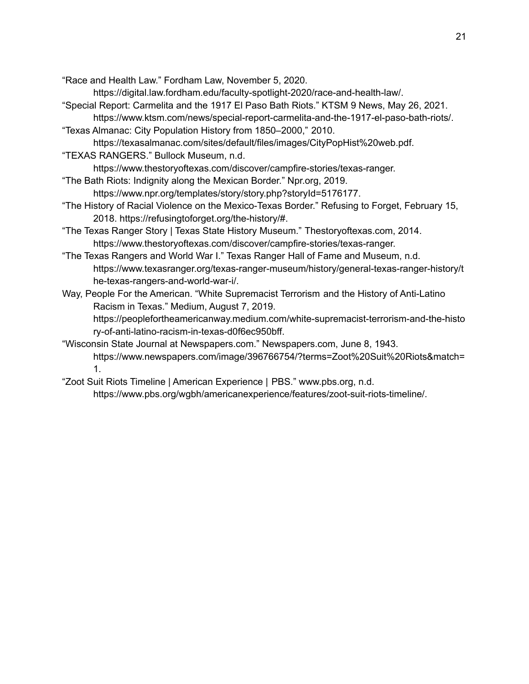"Race and Health Law." Fordham Law, November 5, 2020.

https://digital.law.fordham.edu/faculty-spotlight-2020/race-and-health-law/.

- "Special Report: Carmelita and the 1917 El Paso Bath Riots." KTSM 9 News, May 26, 2021. https://www.ktsm.com/news/special-report-carmelita-and-the-1917-el-paso-bath-riots/.
- "Texas Almanac: City Population History from 1850–2000," 2010. https://texasalmanac.com/sites/default/files/images/CityPopHist%20web.pdf.
- "TEXAS RANGERS." Bullock Museum, n.d.

https://www.thestoryoftexas.com/discover/campfire-stories/texas-ranger.

"The Bath Riots: Indignity along the Mexican Border." Npr.org, 2019.

https://www.npr.org/templates/story/story.php?storyId=5176177.

- "The History of Racial Violence on the Mexico-Texas Border." Refusing to Forget, February 15, 2018. https://refusingtoforget.org/the-history/#.
- "The Texas Ranger Story | Texas State History Museum." Thestoryoftexas.com, 2014. https://www.thestoryoftexas.com/discover/campfire-stories/texas-ranger.
- "The Texas Rangers and World War I." Texas Ranger Hall of Fame and Museum, n.d. https://www.texasranger.org/texas-ranger-museum/history/general-texas-ranger-history/t he-texas-rangers-and-world-war-i/.
- Way, People For the American. "White Supremacist Terrorism and the History of Anti-Latino Racism in Texas." Medium, August 7, 2019.

https://peoplefortheamericanway.medium.com/white-supremacist-terrorism-and-the-histo ry-of-anti-latino-racism-in-texas-d0f6ec950bff.

"Wisconsin State Journal at Newspapers.com." Newspapers.com, June 8, 1943. https://www.newspapers.com/image/396766754/?terms=Zoot%20Suit%20Riots&match= 1.

"Zoot Suit Riots Timeline | American Experience | PBS." www.pbs.org, n.d.

https://www.pbs.org/wgbh/americanexperience/features/zoot-suit-riots-timeline/.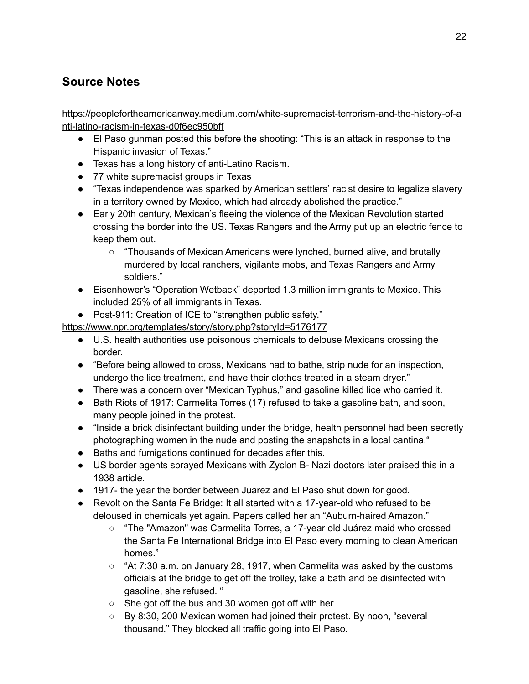# **Source Notes**

[https://peoplefortheamericanway.medium.com/white-supremacist-terrorism-and-the-history-of-a](https://peoplefortheamericanway.medium.com/white-supremacist-terrorism-and-the-history-of-anti-latino-racism-in-texas-d0f6ec950bff) [nti-latino-racism-in-texas-d0f6ec950bff](https://peoplefortheamericanway.medium.com/white-supremacist-terrorism-and-the-history-of-anti-latino-racism-in-texas-d0f6ec950bff)

- El Paso gunman posted this before the shooting: "This is an attack in response to the Hispanic invasion of Texas."
- Texas has a long history of anti-Latino Racism.
- 77 white supremacist groups in Texas
- "Texas independence was sparked by American settlers' racist desire to legalize slavery in a territory owned by Mexico, which had already abolished the practice."
- Early 20th century, Mexican's fleeing the violence of the Mexican Revolution started crossing the border into the US. Texas Rangers and the Army put up an electric fence to keep them out.
	- "Thousands of Mexican Americans were lynched, burned alive, and brutally murdered by local ranchers, vigilante mobs, and Texas Rangers and Army soldiers."
- Eisenhower's "Operation Wetback" deported 1.3 million immigrants to Mexico. This included 25% of all immigrants in Texas.

● Post-911: Creation of ICE to "strengthen public safety."

<https://www.npr.org/templates/story/story.php?storyId=5176177>

- U.S. health authorities use poisonous chemicals to delouse Mexicans crossing the border.
- "Before being allowed to cross, Mexicans had to bathe, strip nude for an inspection, undergo the lice treatment, and have their clothes treated in a steam dryer."
- There was a concern over "Mexican Typhus," and gasoline killed lice who carried it.
- Bath Riots of 1917: Carmelita Torres (17) refused to take a gasoline bath, and soon, many people joined in the protest.
- "Inside a brick disinfectant building under the bridge, health personnel had been secretly photographing women in the nude and posting the snapshots in a local cantina."
- Baths and fumigations continued for decades after this.
- US border agents sprayed Mexicans with Zyclon B- Nazi doctors later praised this in a 1938 article.
- 1917- the year the border between Juarez and El Paso shut down for good.
- Revolt on the Santa Fe Bridge: It all started with a 17-year-old who refused to be deloused in chemicals yet again. Papers called her an "Auburn-haired Amazon."
	- "The "Amazon" was Carmelita Torres, a 17-year old Juárez maid who crossed the Santa Fe International Bridge into El Paso every morning to clean American homes."
	- $\circ$  "At 7:30 a.m. on January 28, 1917, when Carmelita was asked by the customs officials at the bridge to get off the trolley, take a bath and be disinfected with gasoline, she refused. "
	- She got off the bus and 30 women got off with her
	- By 8:30, 200 Mexican women had joined their protest. By noon, "several thousand." They blocked all traffic going into El Paso.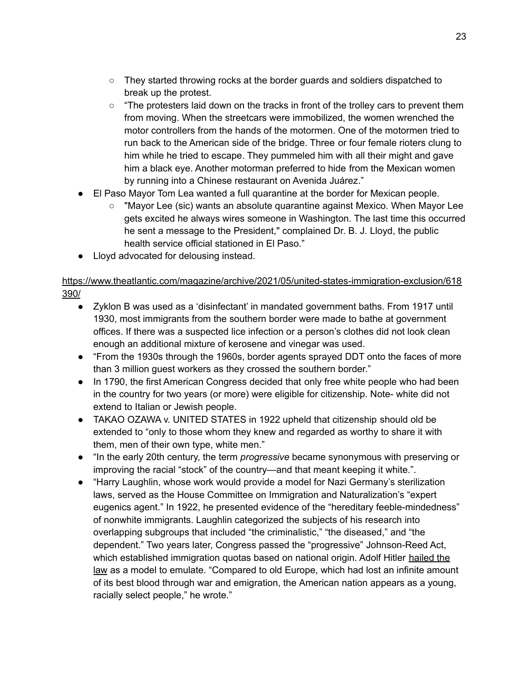- They started throwing rocks at the border guards and soldiers dispatched to break up the protest.
- $\circ$  "The protesters laid down on the tracks in front of the trolley cars to prevent them from moving. When the streetcars were immobilized, the women wrenched the motor controllers from the hands of the motormen. One of the motormen tried to run back to the American side of the bridge. Three or four female rioters clung to him while he tried to escape. They pummeled him with all their might and gave him a black eye. Another motorman preferred to hide from the Mexican women by running into a Chinese restaurant on Avenida Juárez."
- El Paso Mayor Tom Lea wanted a full quarantine at the border for Mexican people.
	- "Mayor Lee (sic) wants an absolute quarantine against Mexico. When Mayor Lee gets excited he always wires someone in Washington. The last time this occurred he sent a message to the President," complained Dr. B. J. Lloyd, the public health service official stationed in El Paso."
- Lloyd advocated for delousing instead.

#### [https://www.theatlantic.com/magazine/archive/2021/05/united-states-immigration-exclusion/618](https://www.theatlantic.com/magazine/archive/2021/05/united-states-immigration-exclusion/618390/) [390/](https://www.theatlantic.com/magazine/archive/2021/05/united-states-immigration-exclusion/618390/)

- Zyklon B was used as a 'disinfectant' in mandated government baths. From 1917 until 1930, most immigrants from the southern border were made to bathe at government offices. If there was a suspected lice infection or a person's clothes did not look clean enough an additional mixture of kerosene and vinegar was used.
- "From the 1930s through the 1960s, border agents sprayed DDT onto the faces of more than 3 million guest workers as they crossed the southern border."
- In 1790, the first American Congress decided that only free white people who had been in the country for two years (or more) were eligible for citizenship. Note- white did not extend to Italian or Jewish people.
- TAKAO OZAWA v. UNITED STATES in 1922 upheld that citizenship should old be extended to "only to those whom they knew and regarded as worthy to share it with them, men of their own type, white men."
- "In the early 20th century, the term *progressive* became synonymous with preserving or improving the racial "stock" of the country—and that meant keeping it white.".
- "Harry Laughlin, whose work would provide a model for Nazi Germany's sterilization laws, served as the House Committee on Immigration and Naturalization's "expert eugenics agent." In 1922, he presented evidence of the "hereditary feeble-mindedness" of nonwhite immigrants. Laughlin categorized the subjects of his research into overlapping subgroups that included "the criminalistic," "the diseased," and "the dependent." Two years later, Congress passed the "progressive" Johnson-Reed Act, which established immigration quotas based on national origin. Adolf Hitler [hailed](https://books.google.com/books/about/Hitler_s_Second_Book.html?id=8nt0-BeF2rUC) the [law](https://books.google.com/books/about/Hitler_s_Second_Book.html?id=8nt0-BeF2rUC) as a model to emulate. "Compared to old Europe, which had lost an infinite amount of its best blood through war and emigration, the American nation appears as a young, racially select people," he wrote."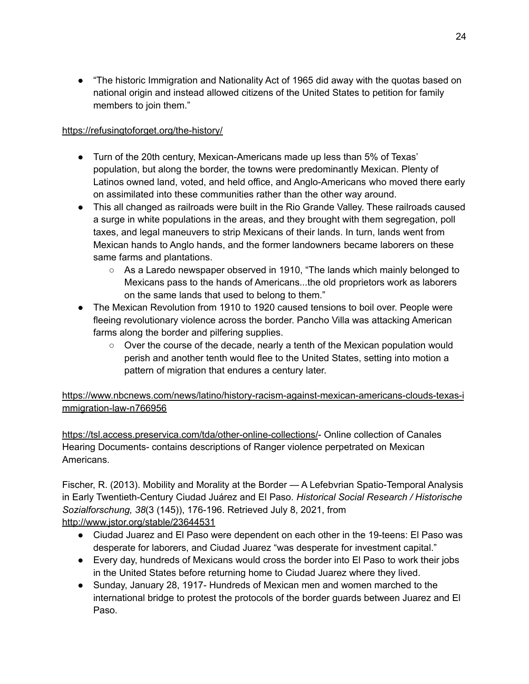● "The historic Immigration and Nationality Act of 1965 did away with the quotas based on national origin and instead allowed citizens of the United States to petition for family members to join them."

#### <https://refusingtoforget.org/the-history/>

- Turn of the 20th century, Mexican-Americans made up less than 5% of Texas' population, but along the border, the towns were predominantly Mexican. Plenty of Latinos owned land, voted, and held office, and Anglo-Americans who moved there early on assimilated into these communities rather than the other way around.
- This all changed as railroads were built in the Rio Grande Valley. These railroads caused a surge in white populations in the areas, and they brought with them segregation, poll taxes, and legal maneuvers to strip Mexicans of their lands. In turn, lands went from Mexican hands to Anglo hands, and the former landowners became laborers on these same farms and plantations.
	- As a Laredo newspaper observed in 1910, "The lands which mainly belonged to Mexicans pass to the hands of Americans...the old proprietors work as laborers on the same lands that used to belong to them."
- The Mexican Revolution from 1910 to 1920 caused tensions to boil over. People were fleeing revolutionary violence across the border. Pancho Villa was attacking American farms along the border and pilfering supplies.
	- Over the course of the decade, nearly a tenth of the Mexican population would perish and another tenth would flee to the United States, setting into motion a pattern of migration that endures a century later.

[https://www.nbcnews.com/news/latino/history-racism-against-mexican-americans-clouds-texas-i](https://www.nbcnews.com/news/latino/history-racism-against-mexican-americans-clouds-texas-immigration-law-n766956) [mmigration-law-n766956](https://www.nbcnews.com/news/latino/history-racism-against-mexican-americans-clouds-texas-immigration-law-n766956)

<https://tsl.access.preservica.com/tda/other-online-collections/>- Online collection of Canales Hearing Documents- contains descriptions of Ranger violence perpetrated on Mexican Americans.

Fischer, R. (2013). Mobility and Morality at the Border — A Lefebvrian Spatio-Temporal Analysis in Early Twentieth-Century Ciudad Juárez and El Paso. *Historical Social Research / Historische Sozialforschung, 38*(3 (145)), 176-196. Retrieved July 8, 2021, from <http://www.jstor.org/stable/23644531>

- Ciudad Juarez and El Paso were dependent on each other in the 19-teens: El Paso was desperate for laborers, and Ciudad Juarez "was desperate for investment capital."
- Every day, hundreds of Mexicans would cross the border into El Paso to work their jobs in the United States before returning home to Ciudad Juarez where they lived.
- Sunday, January 28, 1917- Hundreds of Mexican men and women marched to the international bridge to protest the protocols of the border guards between Juarez and El Paso.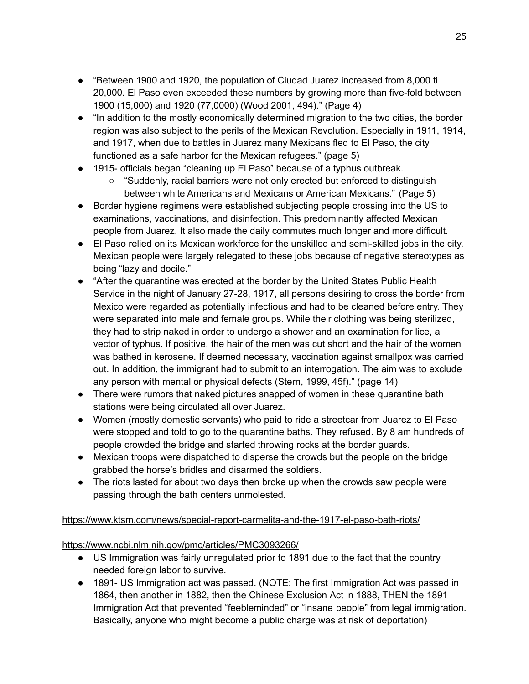- "Between 1900 and 1920, the population of Ciudad Juarez increased from 8,000 ti 20,000. El Paso even exceeded these numbers by growing more than five-fold between 1900 (15,000) and 1920 (77,0000) (Wood 2001, 494)." (Page 4)
- "In addition to the mostly economically determined migration to the two cities, the border region was also subject to the perils of the Mexican Revolution. Especially in 1911, 1914, and 1917, when due to battles in Juarez many Mexicans fled to El Paso, the city functioned as a safe harbor for the Mexican refugees." (page 5)
- 1915- officials began "cleaning up El Paso" because of a typhus outbreak.
	- "Suddenly, racial barriers were not only erected but enforced to distinguish between white Americans and Mexicans or American Mexicans." (Page 5)
- Border hygiene regimens were established subjecting people crossing into the US to examinations, vaccinations, and disinfection. This predominantly affected Mexican people from Juarez. It also made the daily commutes much longer and more difficult.
- El Paso relied on its Mexican workforce for the unskilled and semi-skilled jobs in the city. Mexican people were largely relegated to these jobs because of negative stereotypes as being "lazy and docile."
- "After the quarantine was erected at the border by the United States Public Health Service in the night of January 27-28, 1917, all persons desiring to cross the border from Mexico were regarded as potentially infectious and had to be cleaned before entry. They were separated into male and female groups. While their clothing was being sterilized, they had to strip naked in order to undergo a shower and an examination for lice, a vector of typhus. If positive, the hair of the men was cut short and the hair of the women was bathed in kerosene. If deemed necessary, vaccination against smallpox was carried out. In addition, the immigrant had to submit to an interrogation. The aim was to exclude any person with mental or physical defects (Stern, 1999, 45f)." (page 14)
- There were rumors that naked pictures snapped of women in these quarantine bath stations were being circulated all over Juarez.
- Women (mostly domestic servants) who paid to ride a streetcar from Juarez to El Paso were stopped and told to go to the quarantine baths. They refused. By 8 am hundreds of people crowded the bridge and started throwing rocks at the border guards.
- Mexican troops were dispatched to disperse the crowds but the people on the bridge grabbed the horse's bridles and disarmed the soldiers.
- The riots lasted for about two days then broke up when the crowds saw people were passing through the bath centers unmolested.

#### <https://www.ktsm.com/news/special-report-carmelita-and-the-1917-el-paso-bath-riots/>

#### <https://www.ncbi.nlm.nih.gov/pmc/articles/PMC3093266/>

- US Immigration was fairly unregulated prior to 1891 due to the fact that the country needed foreign labor to survive.
- 1891- US Immigration act was passed. (NOTE: The first Immigration Act was passed in 1864, then another in 1882, then the Chinese Exclusion Act in 1888, THEN the 1891 Immigration Act that prevented "feebleminded" or "insane people" from legal immigration. Basically, anyone who might become a public charge was at risk of deportation)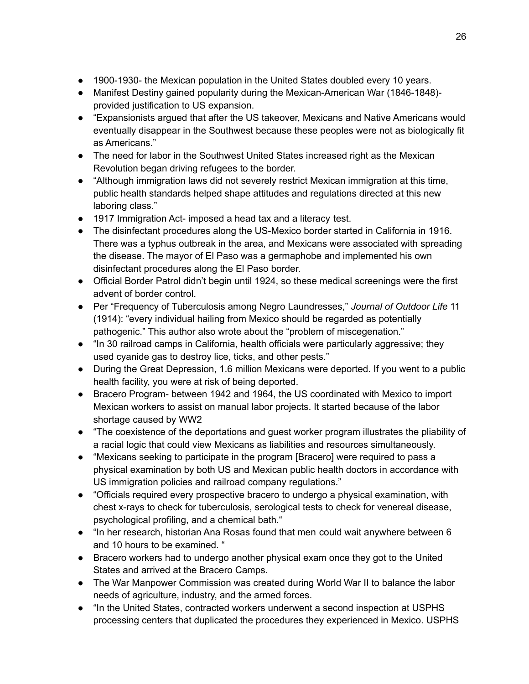- 1900-1930- the Mexican population in the United States doubled every 10 years.
- Manifest Destiny gained popularity during the Mexican-American War (1846-1848) provided justification to US expansion.
- "Expansionists argued that after the US takeover, Mexicans and Native Americans would eventually disappear in the Southwest because these peoples were not as biologically fit as Americans."
- The need for labor in the Southwest United States increased right as the Mexican Revolution began driving refugees to the border.
- "Although immigration laws did not severely restrict Mexican immigration at this time, public health standards helped shape attitudes and regulations directed at this new laboring class."
- 1917 Immigration Act- imposed a head tax and a literacy test.
- The disinfectant procedures along the US-Mexico border started in California in 1916. There was a typhus outbreak in the area, and Mexicans were associated with spreading the disease. The mayor of El Paso was a germaphobe and implemented his own disinfectant procedures along the El Paso border.
- Official Border Patrol didn't begin until 1924, so these medical screenings were the first advent of border control.
- Per "Frequency of Tuberculosis among Negro Laundresses," *Journal of Outdoor Life* 11 (1914): "every individual hailing from Mexico should be regarded as potentially pathogenic." This author also wrote about the "problem of miscegenation."
- "In 30 railroad camps in California, health officials were particularly aggressive; they used cyanide gas to destroy lice, ticks, and other pests."
- During the Great Depression, 1.6 million Mexicans were deported. If you went to a public health facility, you were at risk of being deported.
- Bracero Program- between 1942 and 1964, the US coordinated with Mexico to import Mexican workers to assist on manual labor projects. It started because of the labor shortage caused by WW2
- "The coexistence of the deportations and guest worker program illustrates the pliability of a racial logic that could view Mexicans as liabilities and resources simultaneously.
- "Mexicans seeking to participate in the program [Bracero] were required to pass a physical examination by both US and Mexican public health doctors in accordance with US immigration policies and railroad company regulations."
- "Officials required every prospective bracero to undergo a physical examination, with chest x-rays to check for tuberculosis, serological tests to check for venereal disease, psychological profiling, and a chemical bath."
- "In her research, historian Ana Rosas found that men could wait anywhere between 6 and 10 hours to be examined. "
- Bracero workers had to undergo another physical exam once they got to the United States and arrived at the Bracero Camps.
- The War Manpower Commission was created during World War II to balance the labor needs of agriculture, industry, and the armed forces.
- "In the United States, contracted workers underwent a second inspection at USPHS processing centers that duplicated the procedures they experienced in Mexico. USPHS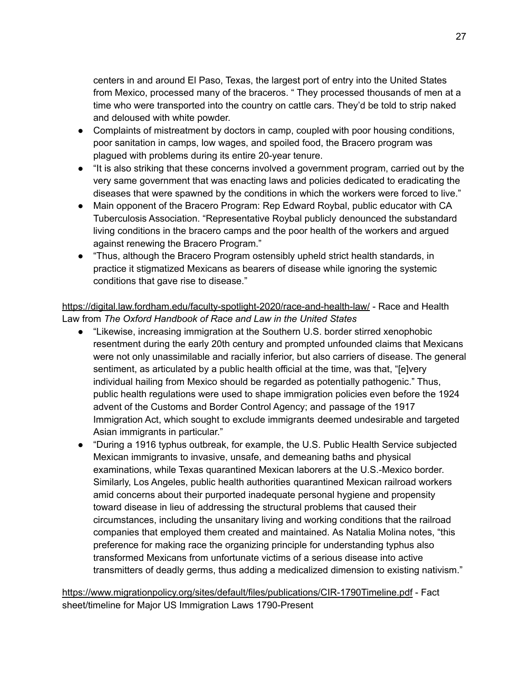centers in and around El Paso, Texas, the largest port of entry into the United States from Mexico, processed many of the braceros. " They processed thousands of men at a time who were transported into the country on cattle cars. They'd be told to strip naked and deloused with white powder.

- Complaints of mistreatment by doctors in camp, coupled with poor housing conditions, poor sanitation in camps, low wages, and spoiled food, the Bracero program was plagued with problems during its entire 20-year tenure.
- "It is also striking that these concerns involved a government program, carried out by the very same government that was enacting laws and policies dedicated to eradicating the diseases that were spawned by the conditions in which the workers were forced to live."
- Main opponent of the Bracero Program: Rep Edward Roybal, public educator with CA Tuberculosis Association. "Representative Roybal publicly denounced the substandard living conditions in the bracero camps and the poor health of the workers and argued against renewing the Bracero Program."
- "Thus, although the Bracero Program ostensibly upheld strict health standards, in practice it stigmatized Mexicans as bearers of disease while ignoring the systemic conditions that gave rise to disease."

<https://digital.law.fordham.edu/faculty-spotlight-2020/race-and-health-law/> - Race and Health Law from *The Oxford Handbook of Race and Law in the United States*

- "Likewise, increasing immigration at the Southern U.S. border stirred xenophobic resentment during the early 20th century and prompted unfounded claims that Mexicans were not only unassimilable and racially inferior, but also carriers of disease. The general sentiment, as articulated by a public health official at the time, was that, "[e]very individual hailing from Mexico should be regarded as potentially pathogenic." Thus, public health regulations were used to shape immigration policies even before the 1924 advent of the Customs and Border Control Agency; and passage of the 1917 Immigration Act, which sought to exclude immigrants deemed undesirable and targeted Asian immigrants in particular."
- "During a 1916 typhus outbreak, for example, the U.S. Public Health Service subjected Mexican immigrants to invasive, unsafe, and demeaning baths and physical examinations, while Texas quarantined Mexican laborers at the U.S.-Mexico border. Similarly, Los Angeles, public health authorities quarantined Mexican railroad workers amid concerns about their purported inadequate personal hygiene and propensity toward disease in lieu of addressing the structural problems that caused their circumstances, including the unsanitary living and working conditions that the railroad companies that employed them created and maintained. As Natalia Molina notes, "this preference for making race the organizing principle for understanding typhus also transformed Mexicans from unfortunate victims of a serious disease into active transmitters of deadly germs, thus adding a medicalized dimension to existing nativism."

<https://www.migrationpolicy.org/sites/default/files/publications/CIR-1790Timeline.pdf> - Fact sheet/timeline for Major US Immigration Laws 1790-Present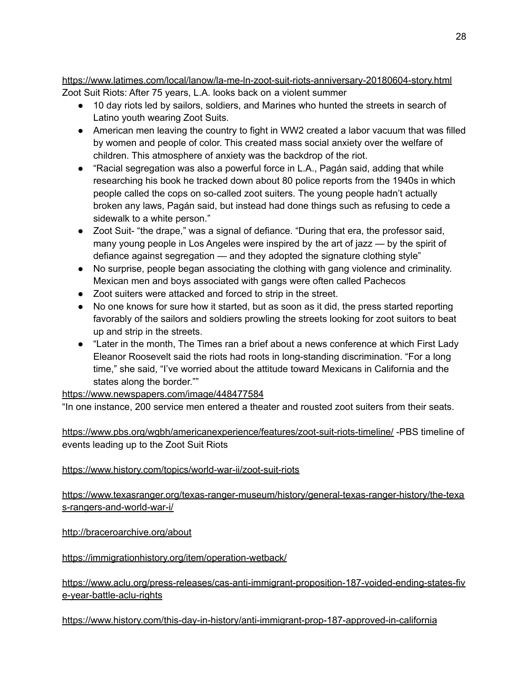<https://www.latimes.com/local/lanow/la-me-ln-zoot-suit-riots-anniversary-20180604-story.html> Zoot Suit Riots: After 75 years, L.A. looks back on a violent summer

- 10 day riots led by sailors, soldiers, and Marines who hunted the streets in search of Latino youth wearing Zoot Suits.
- American men leaving the country to fight in WW2 created a labor vacuum that was filled by women and people of color. This created mass social anxiety over the welfare of children. This atmosphere of anxiety was the backdrop of the riot.
- "Racial segregation was also a powerful force in L.A., Pagán said, adding that while researching his book he tracked down about 80 police reports from the 1940s in which people called the cops on so-called zoot suiters. The young people hadn't actually broken any laws, Pagán said, but instead had done things such as refusing to cede a sidewalk to a white person."
- Zoot Suit- "the drape," was a signal of defiance. "During that era, the professor said, many young people in Los Angeles were inspired by the art of jazz — by the spirit of defiance against segregation — and they adopted the signature clothing style"
- No surprise, people began associating the clothing with gang violence and criminality. Mexican men and boys associated with gangs were often called Pachecos
- Zoot suiters were attacked and forced to strip in the street.
- No one knows for sure how it started, but as soon as it did, the press started reporting favorably of the sailors and soldiers prowling the streets looking for zoot suitors to beat up and strip in the streets.
- "Later in the month, The Times ran a brief about a news conference at which First Lady Eleanor Roosevelt said the riots had roots in long-standing discrimination. "For a long time," she said, "I've worried about the attitude toward Mexicans in California and the states along the border.""

## <https://www.newspapers.com/image/448477584>

"In one instance, 200 service men entered a theater and rousted zoot suiters from their seats.

<https://www.pbs.org/wgbh/americanexperience/features/zoot-suit-riots-timeline/> -PBS timeline of events leading up to the Zoot Suit Riots

#### <https://www.history.com/topics/world-war-ii/zoot-suit-riots>

[https://www.texasranger.org/texas-ranger-museum/history/general-texas-ranger-history/the-texa](https://www.texasranger.org/texas-ranger-museum/history/general-texas-ranger-history/the-texas-rangers-and-world-war-i/) [s-rangers-and-world-war-i/](https://www.texasranger.org/texas-ranger-museum/history/general-texas-ranger-history/the-texas-rangers-and-world-war-i/)

<http://braceroarchive.org/about>

<https://immigrationhistory.org/item/operation-wetback/>

[https://www.aclu.org/press-releases/cas-anti-immigrant-proposition-187-voided-ending-states-fiv](https://www.aclu.org/press-releases/cas-anti-immigrant-proposition-187-voided-ending-states-five-year-battle-aclu-rights) [e-year-battle-aclu-rights](https://www.aclu.org/press-releases/cas-anti-immigrant-proposition-187-voided-ending-states-five-year-battle-aclu-rights)

#### <https://www.history.com/this-day-in-history/anti-immigrant-prop-187-approved-in-california>